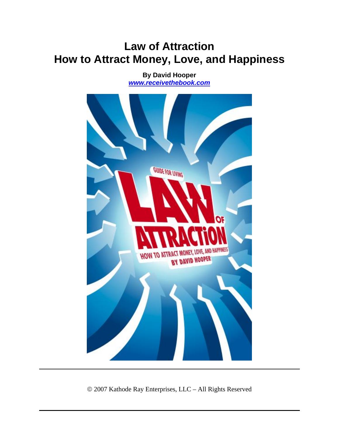### **Law of Attraction How to Attract Money, Love, and Happiness**

**By David Hooper**  *[www.receivethebook.com](http://www.receivethebook.com/)*



© 2007 Kathode Ray Enterprises, LLC – All Rights Reserved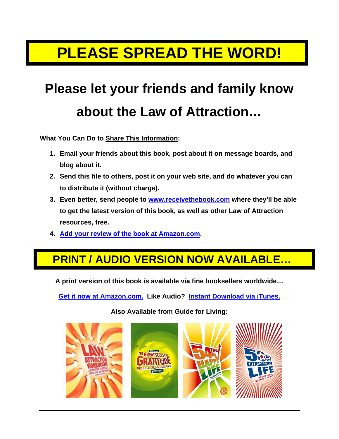## **PLEASE SPREAD THE WORD!**

# **Please let your friends and family know about the Law of Attraction…**

**What You Can Do to Share This Information:** 

- **1. Email your friends about this book, post about it on message boards, and blog about it.**
- **2. Send this file to others, post it on your web site, and do whatever you can to distribute it (without charge).**
- **3. Even better, send people to [www.receivethebook.com](http://www.receivethebook.com) where they'll be able to get the latest version of this book, as well as other Law of Attraction resources, free.**
- **4. [Add your review of the book at Amazon.com](http://www.amazon.com/gp/customer-reviews/write-a-review.html/102-3720294-9876169?ie=UTF8&asin=0975436155&store=books).**

## **PRINT / AUDIO VERSION NOW AVAILABLE…**

**A print version of this book is available via fine booksellers worldwide…** 

**Get it now [at Amazon.com.](http://www.amazon.com/exec/obidos/ASIN/0975436155/kathoderaymusic) Like Audio? [Instant Download via iTunes.](http://phobos.apple.com/WebObjects/MZStore.woa/wa/viewAlbum?playListId=212605604)** 

**Also Available from Guide for Living:** 

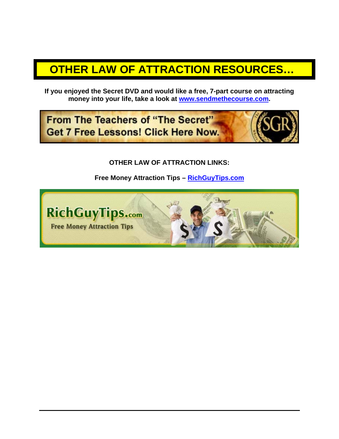## **OTHER LAW OF ATTRACTION RESOURCES…**

**If you enjoyed the Secret DVD and would like a free, 7-part course on attracting money into your life, take a look at [www.sendmethecourse.com](http://www.sendmethecourse.com).** 

From The Teachers of "The Secret" **Get 7 Free Lessons! Click Here Now.** 

**OTHER LAW OF ATTRACTION LINKS:** 

**Free Money Attraction Tips – [RichGuyTips.com](http://www.richguytips.com)**

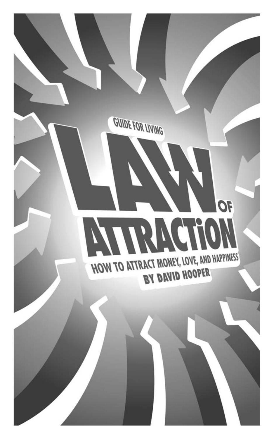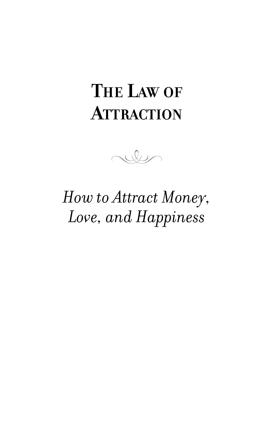## **THE LAW OF ATTRACTION**



## *How to Attract Money, Love, and Happiness*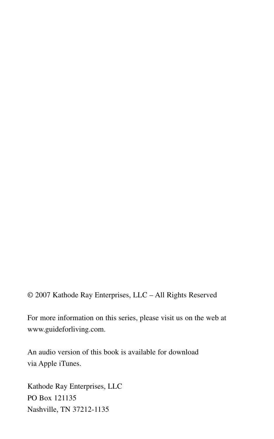© 2007 Kathode Ray Enterprises, LLC – All Rights Reserved

For more information on this series, please visit us on the web at www.guideforliving.com.

An audio version of this book is available for download via Apple iTunes.

Kathode Ray Enterprises, LLC PO Box 121135 Nashville, TN 37212-1135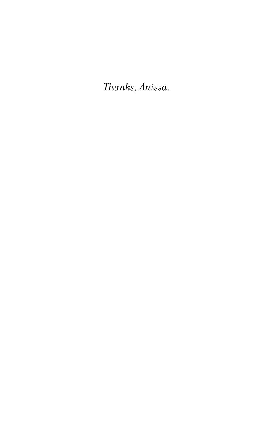*Thanks, Anissa.*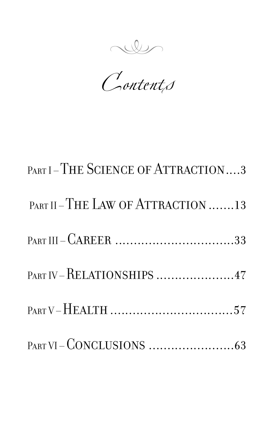$\sim$ 

Contents

# PART I – THE SCIENCE OF ATTRACTION....3 PART II – THE LAW OF ATTRACTION .......13 Part III – Career ................................33 PART IV – RELATIONSHIPS .......................47 Part V – Health .................................57 Part VI – Conclusions .......................63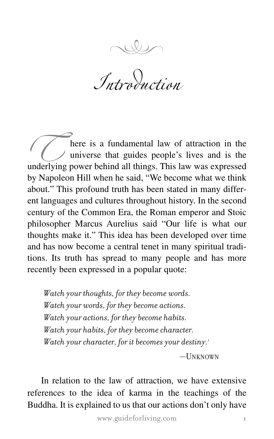$\sim$ 

Introduction

There is a fundamental law of attraction in the underlying power behind all things. This law was expressed universe that guides people's lives and is the by Napoleon Hill when he said, "We become what we think about." This profound truth has been stated in many different languages and cultures throughout history. In the second century of the Common Era, the Roman emperor and Stoic philosopher Marcus Aurelius said "Our life is what our thoughts make it." This idea has been developed over time and has now become a central tenet in many spiritual traditions. Its truth has spread to many people and has more recently been expressed in a popular quote:

*Watch your thoughts, for they become words. Watch your words, for they become actions. Watch your actions, for they become habits. Watch your habits, for they become character. Watch your character, for it becomes your destiny.1*

 $-I$ INKNOWN

In relation to the law of attraction, we have extensive references to the idea of karma in the teachings of the Buddha. It is explained to us that our actions don't only have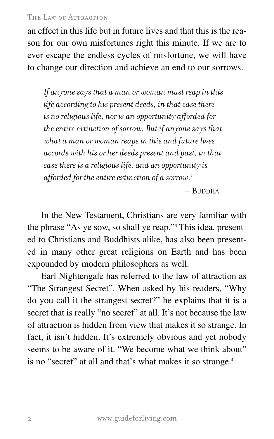#### The Law of Attraction

an effect in this life but in future lives and that this is the reason for our own misfortunes right this minute. If we are to ever escape the endless cycles of misfortune, we will have to change our direction and achieve an end to our sorrows.

*If anyone says that a man or woman must reap in this life according to his present deeds, in that case there is no religious life, nor is an opportunity afforded for the entire extinction of sorrow. But if anyone says that what a man or woman reaps in this and future lives accords with his or her deeds present and past, in that case there is a religious life, and an opportunity is afforded for the entire extinction of a sorrow.2*

– BUDDHA

In the New Testament, Christians are very familiar with the phrase "As ye sow, so shall ye reap."3 This idea, presented to Christians and Buddhists alike, has also been presented in many other great religions on Earth and has been expounded by modern philosophers as well.

Earl Nightengale has referred to the law of attraction as "The Strangest Secret". When asked by his readers, "Why do you call it the strangest secret?" he explains that it is a secret that is really "no secret" at all. It's not because the law of attraction is hidden from view that makes it so strange. In fact, it isn't hidden. It's extremely obvious and yet nobody seems to be aware of it. "We become what we think about" is no "secret" at all and that's what makes it so strange.<sup>4</sup>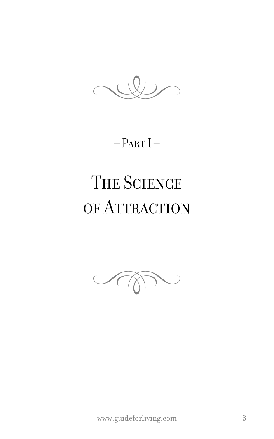$\sim$ 

#### $-PARTI -$

## THE SCIENCE OF ATTRACTION

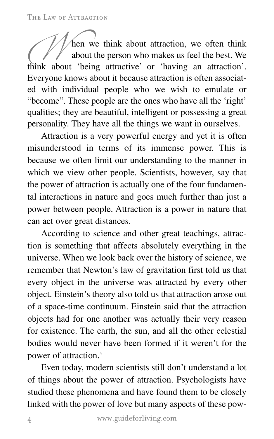Then we think about attraction, we often think<br>about the person who makes us feel the best. We<br>think about 'being attractive' or 'having an attraction'. about the person who makes us feel the best. We Everyone knows about it because attraction is often associated with individual people who we wish to emulate or "become". These people are the ones who have all the 'right' qualities; they are beautiful, intelligent or possessing a great personality. They have all the things we want in ourselves.

Attraction is a very powerful energy and yet it is often misunderstood in terms of its immense power. This is because we often limit our understanding to the manner in which we view other people. Scientists, however, say that the power of attraction is actually one of the four fundamental interactions in nature and goes much further than just a power between people. Attraction is a power in nature that can act over great distances.

According to science and other great teachings, attraction is something that affects absolutely everything in the universe. When we look back over the history of science, we remember that Newton's law of gravitation first told us that every object in the universe was attracted by every other object. Einstein's theory also told us that attraction arose out of a space-time continuum. Einstein said that the attraction objects had for one another was actually their very reason for existence. The earth, the sun, and all the other celestial bodies would never have been formed if it weren't for the power of attraction.<sup>5</sup>

Even today, modern scientists still don't understand a lot of things about the power of attraction. Psychologists have studied these phenomena and have found them to be closely linked with the power of love but many aspects of these pow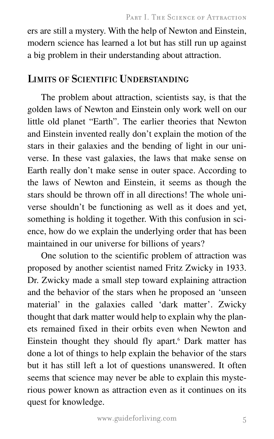ers are still a mystery. With the help of Newton and Einstein, modern science has learned a lot but has still run up against a big problem in their understanding about attraction.

#### **LIMITS OF SCIENTIFIC UNDERSTANDING**

The problem about attraction, scientists say, is that the golden laws of Newton and Einstein only work well on our little old planet "Earth". The earlier theories that Newton and Einstein invented really don't explain the motion of the stars in their galaxies and the bending of light in our universe. In these vast galaxies, the laws that make sense on Earth really don't make sense in outer space. According to the laws of Newton and Einstein, it seems as though the stars should be thrown off in all directions! The whole universe shouldn't be functioning as well as it does and yet, something is holding it together. With this confusion in science, how do we explain the underlying order that has been maintained in our universe for billions of years?

One solution to the scientific problem of attraction was proposed by another scientist named Fritz Zwicky in 1933. Dr. Zwicky made a small step toward explaining attraction and the behavior of the stars when he proposed an 'unseen material' in the galaxies called 'dark matter'. Zwicky thought that dark matter would help to explain why the planets remained fixed in their orbits even when Newton and Einstein thought they should fly apart.<sup>6</sup> Dark matter has done a lot of things to help explain the behavior of the stars but it has still left a lot of questions unanswered. It often seems that science may never be able to explain this mysterious power known as attraction even as it continues on its quest for knowledge.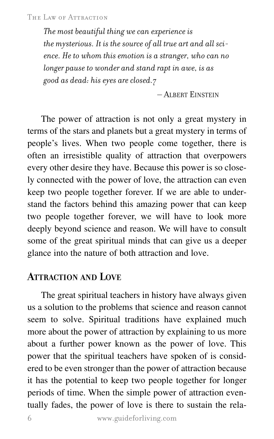#### THE LAW OF ATTRACTION

*The most beautiful thing we can experience is the mysterious. It is the source of all true art and all science. He to whom this emotion is a stranger, who can no longer pause to wonder and stand rapt in awe, is as good as dead: his eyes are closed.7* 

– ALBERT EINSTEIN

The power of attraction is not only a great mystery in terms of the stars and planets but a great mystery in terms of people's lives. When two people come together, there is often an irresistible quality of attraction that overpowers every other desire they have. Because this power is so closely connected with the power of love, the attraction can even keep two people together forever. If we are able to understand the factors behind this amazing power that can keep two people together forever, we will have to look more deeply beyond science and reason. We will have to consult some of the great spiritual minds that can give us a deeper glance into the nature of both attraction and love.

#### **ATTRACTION AND LOVE**

The great spiritual teachers in history have always given us a solution to the problems that science and reason cannot seem to solve. Spiritual traditions have explained much more about the power of attraction by explaining to us more about a further power known as the power of love. This power that the spiritual teachers have spoken of is considered to be even stronger than the power of attraction because it has the potential to keep two people together for longer periods of time. When the simple power of attraction eventually fades, the power of love is there to sustain the rela-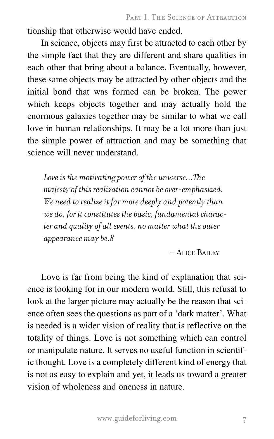tionship that otherwise would have ended.

In science, objects may first be attracted to each other by the simple fact that they are different and share qualities in each other that bring about a balance. Eventually, however, these same objects may be attracted by other objects and the initial bond that was formed can be broken. The power which keeps objects together and may actually hold the enormous galaxies together may be similar to what we call love in human relationships. It may be a lot more than just the simple power of attraction and may be something that science will never understand.

*Love is the motivating power of the universe...The majesty of this realization cannot be over-emphasized. We need to realize it far more deeply and potently than we do, for it constitutes the basic, fundamental character and quality of all events, no matter what the outer appearance may be.8*

– ALICE BAILEY

Love is far from being the kind of explanation that science is looking for in our modern world. Still, this refusal to look at the larger picture may actually be the reason that science often sees the questions as part of a 'dark matter'. What is needed is a wider vision of reality that is reflective on the totality of things. Love is not something which can control or manipulate nature. It serves no useful function in scientific thought. Love is a completely different kind of energy that is not as easy to explain and yet, it leads us toward a greater vision of wholeness and oneness in nature.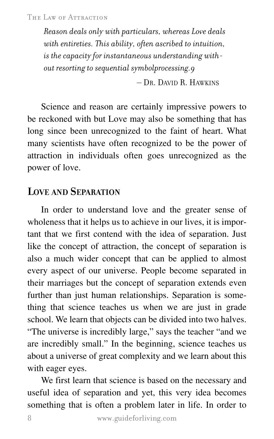*Reason deals only with particulars, whereas Love deals with entireties. This ability, often ascribed to intuition, is the capacity for instantaneous understanding without resorting to sequential symbolprocessing.9* 

– DR. DAVID R. HAWKINS

Science and reason are certainly impressive powers to be reckoned with but Love may also be something that has long since been unrecognized to the faint of heart. What many scientists have often recognized to be the power of attraction in individuals often goes unrecognized as the power of love.

#### **LOVE AND SEPARATION**

In order to understand love and the greater sense of wholeness that it helps us to achieve in our lives, it is important that we first contend with the idea of separation. Just like the concept of attraction, the concept of separation is also a much wider concept that can be applied to almost every aspect of our universe. People become separated in their marriages but the concept of separation extends even further than just human relationships. Separation is something that science teaches us when we are just in grade school. We learn that objects can be divided into two halves. "The universe is incredibly large," says the teacher "and we are incredibly small." In the beginning, science teaches us about a universe of great complexity and we learn about this with eager eyes.

We first learn that science is based on the necessary and useful idea of separation and yet, this very idea becomes something that is often a problem later in life. In order to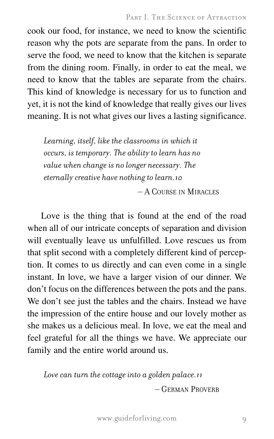cook our food, for instance, we need to know the scientific reason why the pots are separate from the pans. In order to serve the food, we need to know that the kitchen is separate from the dining room. Finally, in order to eat the meal, we need to know that the tables are separate from the chairs. This kind of knowledge is necessary for us to function and yet, it is not the kind of knowledge that really gives our lives meaning. It is not what gives our lives a lasting significance.

*Learning, itself, like the classrooms in which it occurs, is temporary. The ability to learn has no value when change is no longer necessary. The eternally creative have nothing to learn.10* 

– A COURSE IN MIRACLES

Love is the thing that is found at the end of the road when all of our intricate concepts of separation and division will eventually leave us unfulfilled. Love rescues us from that split second with a completely different kind of perception. It comes to us directly and can even come in a single instant. In love, we have a larger vision of our dinner. We don't focus on the differences between the pots and the pans. We don't see just the tables and the chairs. Instead we have the impression of the entire house and our lovely mother as she makes us a delicious meal. In love, we eat the meal and feel grateful for all the things we have. We appreciate our family and the entire world around us.

*Love can turn the cottage into a golden palace.11*

– GERMAN PROVERB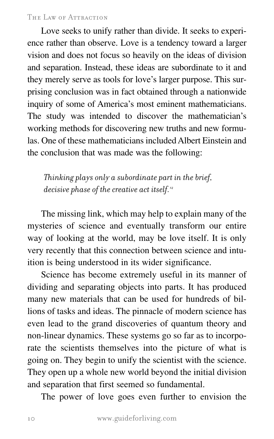#### The Law of Attraction

Love seeks to unify rather than divide. It seeks to experience rather than observe. Love is a tendency toward a larger vision and does not focus so heavily on the ideas of division and separation. Instead, these ideas are subordinate to it and they merely serve as tools for love's larger purpose. This surprising conclusion was in fact obtained through a nationwide inquiry of some of America's most eminent mathematicians. The study was intended to discover the mathematician's working methods for discovering new truths and new formulas. One of these mathematicians included Albert Einstein and the conclusion that was made was the following:

*Thinking plays only a subordinate part in the brief, decisive phase of the creative act itself.12*

The missing link, which may help to explain many of the mysteries of science and eventually transform our entire way of looking at the world, may be love itself. It is only very recently that this connection between science and intuition is being understood in its wider significance.

Science has become extremely useful in its manner of dividing and separating objects into parts. It has produced many new materials that can be used for hundreds of billions of tasks and ideas. The pinnacle of modern science has even lead to the grand discoveries of quantum theory and non-linear dynamics. These systems go so far as to incorporate the scientists themselves into the picture of what is going on. They begin to unify the scientist with the science. They open up a whole new world beyond the initial division and separation that first seemed so fundamental.

The power of love goes even further to envision the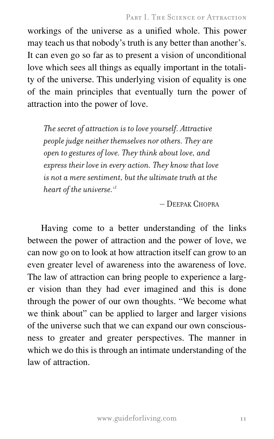workings of the universe as a unified whole. This power may teach us that nobody's truth is any better than another's. It can even go so far as to present a vision of unconditional love which sees all things as equally important in the totality of the universe. This underlying vision of equality is one of the main principles that eventually turn the power of attraction into the power of love.

*The secret of attraction is to love yourself. Attractive people judge neither themselves nor others. They are open to gestures of love. They think about love, and express their love in every action. They know that love is not a mere sentiment, but the ultimate truth at the heart of the universe.13* 

– DEEPAK CHOPRA

Having come to a better understanding of the links between the power of attraction and the power of love, we can now go on to look at how attraction itself can grow to an even greater level of awareness into the awareness of love. The law of attraction can bring people to experience a larger vision than they had ever imagined and this is done through the power of our own thoughts. "We become what we think about" can be applied to larger and larger visions of the universe such that we can expand our own consciousness to greater and greater perspectives. The manner in which we do this is through an intimate understanding of the law of attraction.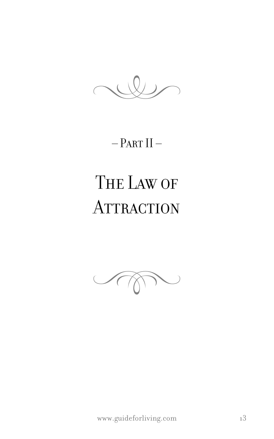$\sim$  $\bigcup$ 

#### $-$  PART II $-$

## THE LAW OF **ATTRACTION**



www.guideforliving.com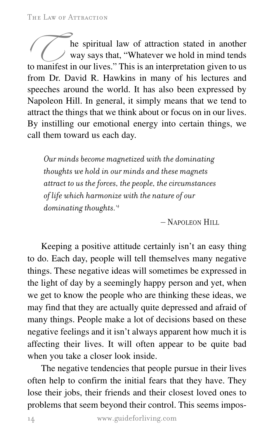The spiritual law of attraction stated in another<br>to manifest in our lives." This is an interpretation given to us<br>from De David D. Harding in mann of his lattrace and way says that, "Whatever we hold in mind tends from Dr. David R. Hawkins in many of his lectures and speeches around the world. It has also been expressed by Napoleon Hill. In general, it simply means that we tend to attract the things that we think about or focus on in our lives. By instilling our emotional energy into certain things, we call them toward us each day.

*Our minds become magnetized with the dominating thoughts we hold in our minds and these magnets attract to us the forces, the people, the circumstances of life which harmonize with the nature of our dominating thoughts.14*

– NAPOLEON HILL

Keeping a positive attitude certainly isn't an easy thing to do. Each day, people will tell themselves many negative things. These negative ideas will sometimes be expressed in the light of day by a seemingly happy person and yet, when we get to know the people who are thinking these ideas, we may find that they are actually quite depressed and afraid of many things. People make a lot of decisions based on these negative feelings and it isn't always apparent how much it is affecting their lives. It will often appear to be quite bad when you take a closer look inside.

The negative tendencies that people pursue in their lives often help to confirm the initial fears that they have. They lose their jobs, their friends and their closest loved ones to problems that seem beyond their control. This seems impos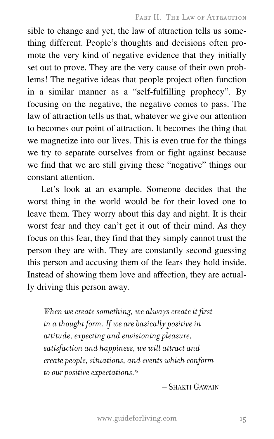sible to change and yet, the law of attraction tells us something different. People's thoughts and decisions often promote the very kind of negative evidence that they initially set out to prove. They are the very cause of their own problems! The negative ideas that people project often function in a similar manner as a "self-fulfilling prophecy". By focusing on the negative, the negative comes to pass. The law of attraction tells us that, whatever we give our attention to becomes our point of attraction. It becomes the thing that we magnetize into our lives. This is even true for the things we try to separate ourselves from or fight against because we find that we are still giving these "negative" things our constant attention.

Let's look at an example. Someone decides that the worst thing in the world would be for their loved one to leave them. They worry about this day and night. It is their worst fear and they can't get it out of their mind. As they focus on this fear, they find that they simply cannot trust the person they are with. They are constantly second guessing this person and accusing them of the fears they hold inside. Instead of showing them love and affection, they are actually driving this person away.

*When we create something, we always create it first in a thought form. If we are basically positive in attitude, expecting and envisioning pleasure, satisfaction and happiness, we will attract and create people, situations, and events which conform to our positive expectations.15*

– SHAKTI GAWAIN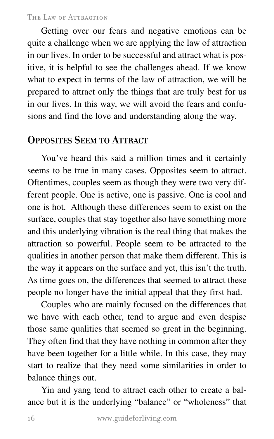#### The Law of Attraction

Getting over our fears and negative emotions can be quite a challenge when we are applying the law of attraction in our lives. In order to be successful and attract what is positive, it is helpful to see the challenges ahead. If we know what to expect in terms of the law of attraction, we will be prepared to attract only the things that are truly best for us in our lives. In this way, we will avoid the fears and confusions and find the love and understanding along the way.

#### **OPPOSITES SEEM TO ATTRACT**

You've heard this said a million times and it certainly seems to be true in many cases. Opposites seem to attract. Oftentimes, couples seem as though they were two very different people. One is active, one is passive. One is cool and one is hot. Although these differences seem to exist on the surface, couples that stay together also have something more and this underlying vibration is the real thing that makes the attraction so powerful. People seem to be attracted to the qualities in another person that make them different. This is the way it appears on the surface and yet, this isn't the truth. As time goes on, the differences that seemed to attract these people no longer have the initial appeal that they first had.

Couples who are mainly focused on the differences that we have with each other, tend to argue and even despise those same qualities that seemed so great in the beginning. They often find that they have nothing in common after they have been together for a little while. In this case, they may start to realize that they need some similarities in order to balance things out.

Yin and yang tend to attract each other to create a balance but it is the underlying "balance" or "wholeness" that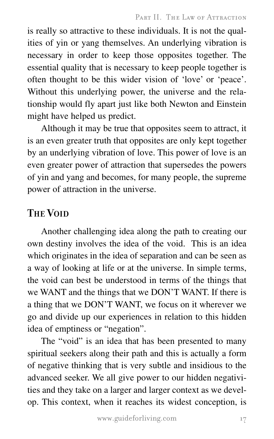is really so attractive to these individuals. It is not the qualities of yin or yang themselves. An underlying vibration is necessary in order to keep those opposites together. The essential quality that is necessary to keep people together is often thought to be this wider vision of 'love' or 'peace'. Without this underlying power, the universe and the relationship would fly apart just like both Newton and Einstein might have helped us predict.

Although it may be true that opposites seem to attract, it is an even greater truth that opposites are only kept together by an underlying vibration of love. This power of love is an even greater power of attraction that supersedes the powers of yin and yang and becomes, for many people, the supreme power of attraction in the universe.

#### **THE VOID**

Another challenging idea along the path to creating our own destiny involves the idea of the void. This is an idea which originates in the idea of separation and can be seen as a way of looking at life or at the universe. In simple terms, the void can best be understood in terms of the things that we WANT and the things that we DON'T WANT. If there is a thing that we DON'T WANT, we focus on it wherever we go and divide up our experiences in relation to this hidden idea of emptiness or "negation".

The "void" is an idea that has been presented to many spiritual seekers along their path and this is actually a form of negative thinking that is very subtle and insidious to the advanced seeker. We all give power to our hidden negativities and they take on a larger and larger context as we develop. This context, when it reaches its widest conception, is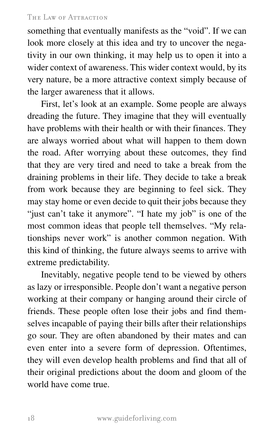#### THE LAW OF ATTRACTION

something that eventually manifests as the "void". If we can look more closely at this idea and try to uncover the negativity in our own thinking, it may help us to open it into a wider context of awareness. This wider context would, by its very nature, be a more attractive context simply because of the larger awareness that it allows.

First, let's look at an example. Some people are always dreading the future. They imagine that they will eventually have problems with their health or with their finances. They are always worried about what will happen to them down the road. After worrying about these outcomes, they find that they are very tired and need to take a break from the draining problems in their life. They decide to take a break from work because they are beginning to feel sick. They may stay home or even decide to quit their jobs because they "just can't take it anymore". "I hate my job" is one of the most common ideas that people tell themselves. "My relationships never work" is another common negation. With this kind of thinking, the future always seems to arrive with extreme predictability.

Inevitably, negative people tend to be viewed by others as lazy or irresponsible. People don't want a negative person working at their company or hanging around their circle of friends. These people often lose their jobs and find themselves incapable of paying their bills after their relationships go sour. They are often abandoned by their mates and can even enter into a severe form of depression. Oftentimes, they will even develop health problems and find that all of their original predictions about the doom and gloom of the world have come true.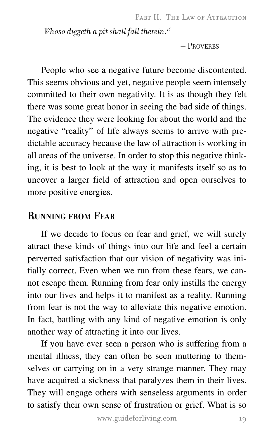*Whoso diggeth a pit shall fall therein.16*

– PROVERBS

People who see a negative future become discontented. This seems obvious and yet, negative people seem intensely committed to their own negativity. It is as though they felt there was some great honor in seeing the bad side of things. The evidence they were looking for about the world and the negative "reality" of life always seems to arrive with predictable accuracy because the law of attraction is working in all areas of the universe. In order to stop this negative thinking, it is best to look at the way it manifests itself so as to uncover a larger field of attraction and open ourselves to more positive energies.

#### **RUNNING FROM FEAR**

If we decide to focus on fear and grief, we will surely attract these kinds of things into our life and feel a certain perverted satisfaction that our vision of negativity was initially correct. Even when we run from these fears, we cannot escape them. Running from fear only instills the energy into our lives and helps it to manifest as a reality. Running from fear is not the way to alleviate this negative emotion. In fact, battling with any kind of negative emotion is only another way of attracting it into our lives.

If you have ever seen a person who is suffering from a mental illness, they can often be seen muttering to themselves or carrying on in a very strange manner. They may have acquired a sickness that paralyzes them in their lives. They will engage others with senseless arguments in order to satisfy their own sense of frustration or grief. What is so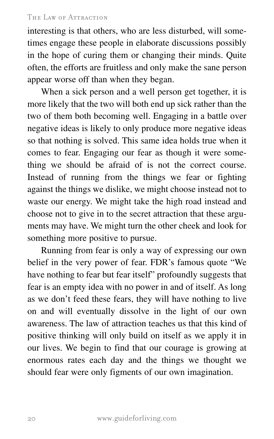#### THE LAW OF ATTRACTION

interesting is that others, who are less disturbed, will sometimes engage these people in elaborate discussions possibly in the hope of curing them or changing their minds. Quite often, the efforts are fruitless and only make the sane person appear worse off than when they began.

When a sick person and a well person get together, it is more likely that the two will both end up sick rather than the two of them both becoming well. Engaging in a battle over negative ideas is likely to only produce more negative ideas so that nothing is solved. This same idea holds true when it comes to fear. Engaging our fear as though it were something we should be afraid of is not the correct course. Instead of running from the things we fear or fighting against the things we dislike, we might choose instead not to waste our energy. We might take the high road instead and choose not to give in to the secret attraction that these arguments may have. We might turn the other cheek and look for something more positive to pursue.

Running from fear is only a way of expressing our own belief in the very power of fear. FDR's famous quote "We have nothing to fear but fear itself" profoundly suggests that fear is an empty idea with no power in and of itself. As long as we don't feed these fears, they will have nothing to live on and will eventually dissolve in the light of our own awareness. The law of attraction teaches us that this kind of positive thinking will only build on itself as we apply it in our lives. We begin to find that our courage is growing at enormous rates each day and the things we thought we should fear were only figments of our own imagination.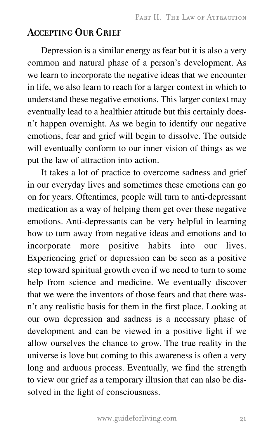#### **ACCEPTING OUR GRIEF**

Depression is a similar energy as fear but it is also a very common and natural phase of a person's development. As we learn to incorporate the negative ideas that we encounter in life, we also learn to reach for a larger context in which to understand these negative emotions. This larger context may eventually lead to a healthier attitude but this certainly doesn't happen overnight. As we begin to identify our negative emotions, fear and grief will begin to dissolve. The outside will eventually conform to our inner vision of things as we put the law of attraction into action.

It takes a lot of practice to overcome sadness and grief in our everyday lives and sometimes these emotions can go on for years. Oftentimes, people will turn to anti-depressant medication as a way of helping them get over these negative emotions. Anti-depressants can be very helpful in learning how to turn away from negative ideas and emotions and to incorporate more positive habits into our lives. Experiencing grief or depression can be seen as a positive step toward spiritual growth even if we need to turn to some help from science and medicine. We eventually discover that we were the inventors of those fears and that there wasn't any realistic basis for them in the first place. Looking at our own depression and sadness is a necessary phase of development and can be viewed in a positive light if we allow ourselves the chance to grow. The true reality in the universe is love but coming to this awareness is often a very long and arduous process. Eventually, we find the strength to view our grief as a temporary illusion that can also be dissolved in the light of consciousness.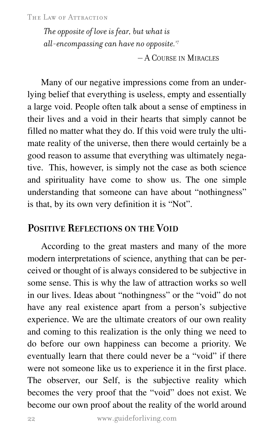*The opposite of love is fear, but what is all-encompassing can have no opposite.17*

– A COURSE IN MIRACLES

Many of our negative impressions come from an underlying belief that everything is useless, empty and essentially a large void. People often talk about a sense of emptiness in their lives and a void in their hearts that simply cannot be filled no matter what they do. If this void were truly the ultimate reality of the universe, then there would certainly be a good reason to assume that everything was ultimately negative. This, however, is simply not the case as both science and spirituality have come to show us. The one simple understanding that someone can have about "nothingness" is that, by its own very definition it is "Not".

#### **POSITIVE REFLECTIONS ON THE VOID**

According to the great masters and many of the more modern interpretations of science, anything that can be perceived or thought of is always considered to be subjective in some sense. This is why the law of attraction works so well in our lives. Ideas about "nothingness" or the "void" do not have any real existence apart from a person's subjective experience. We are the ultimate creators of our own reality and coming to this realization is the only thing we need to do before our own happiness can become a priority. We eventually learn that there could never be a "void" if there were not someone like us to experience it in the first place. The observer, our Self, is the subjective reality which becomes the very proof that the "void" does not exist. We become our own proof about the reality of the world around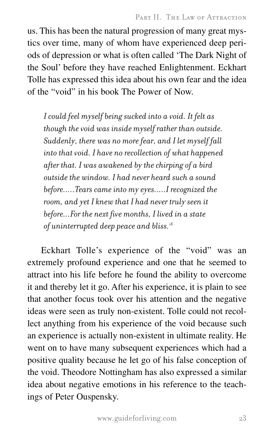us. This has been the natural progression of many great mystics over time, many of whom have experienced deep periods of depression or what is often called 'The Dark Night of the Soul' before they have reached Enlightenment. Eckhart Tolle has expressed this idea about his own fear and the idea of the "void" in his book The Power of Now.

*I could feel myself being sucked into a void. It felt as though the void was inside myself rather than outside. Suddenly, there was no more fear, and I let myself fall into that void. I have no recollection of what happened after that. I was awakened by the chirping of a bird outside the window. I had never heard such a sound before.....Tears came into my eyes.....I recognized the room, and yet I knew that I had never truly seen it before...For the next five months, I lived in a state of uninterrupted deep peace and bliss.18*

Eckhart Tolle's experience of the "void" was an extremely profound experience and one that he seemed to attract into his life before he found the ability to overcome it and thereby let it go. After his experience, it is plain to see that another focus took over his attention and the negative ideas were seen as truly non-existent. Tolle could not recollect anything from his experience of the void because such an experience is actually non-existent in ultimate reality. He went on to have many subsequent experiences which had a positive quality because he let go of his false conception of the void. Theodore Nottingham has also expressed a similar idea about negative emotions in his reference to the teachings of Peter Ouspensky.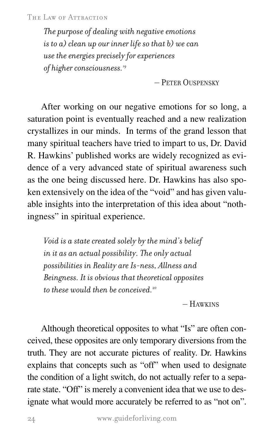*The purpose of dealing with negative emotions is to a) clean up our inner life so that b) we can use the energies precisely for experiences of higher consciousness.19*

– PETER OUSPENSKY

After working on our negative emotions for so long, a saturation point is eventually reached and a new realization crystallizes in our minds. In terms of the grand lesson that many spiritual teachers have tried to impart to us, Dr. David R. Hawkins' published works are widely recognized as evidence of a very advanced state of spiritual awareness such as the one being discussed here. Dr. Hawkins has also spoken extensively on the idea of the "void" and has given valuable insights into the interpretation of this idea about "nothingness" in spiritual experience.

*Void is a state created solely by the mind's belief in it as an actual possibility. The only actual possibilities in Reality are Is-ness, Allness and Beingness. It is obvious that theoretical opposites to these would then be conceived.20* 

– HAWKINS

Although theoretical opposites to what "Is" are often conceived, these opposites are only temporary diversions from the truth. They are not accurate pictures of reality. Dr. Hawkins explains that concepts such as "off" when used to designate the condition of a light switch, do not actually refer to a separate state. "Off" is merely a convenient idea that we use to designate what would more accurately be referred to as "not on".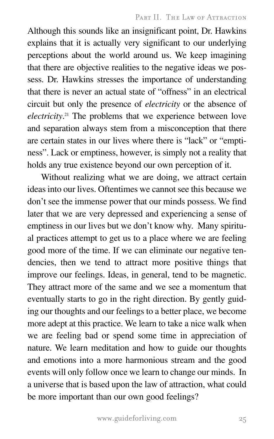Although this sounds like an insignificant point, Dr. Hawkins explains that it is actually very significant to our underlying perceptions about the world around us. We keep imagining that there are objective realities to the negative ideas we possess. Dr. Hawkins stresses the importance of understanding that there is never an actual state of "offness" in an electrical circuit but only the presence of *electricity* or the absence of *electricity*. <sup>21</sup> The problems that we experience between love and separation always stem from a misconception that there are certain states in our lives where there is "lack" or "emptiness". Lack or emptiness, however, is simply not a reality that holds any true existence beyond our own perception of it.

Without realizing what we are doing, we attract certain ideas into our lives. Oftentimes we cannot see this because we don't see the immense power that our minds possess. We find later that we are very depressed and experiencing a sense of emptiness in our lives but we don't know why. Many spiritual practices attempt to get us to a place where we are feeling good more of the time. If we can eliminate our negative tendencies, then we tend to attract more positive things that improve our feelings. Ideas, in general, tend to be magnetic. They attract more of the same and we see a momentum that eventually starts to go in the right direction. By gently guiding our thoughts and our feelings to a better place, we become more adept at this practice. We learn to take a nice walk when we are feeling bad or spend some time in appreciation of nature. We learn meditation and how to guide our thoughts and emotions into a more harmonious stream and the good events will only follow once we learn to change our minds. In a universe that is based upon the law of attraction, what could be more important than our own good feelings?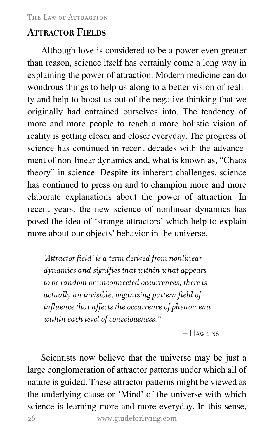# **ATTRACTOR FIELDS**

Although love is considered to be a power even greater than reason, science itself has certainly come a long way in explaining the power of attraction. Modern medicine can do wondrous things to help us along to a better vision of reality and help to boost us out of the negative thinking that we originally had entrained ourselves into. The tendency of more and more people to reach a more holistic vision of reality is getting closer and closer everyday. The progress of science has continued in recent decades with the advancement of non-linear dynamics and, what is known as, "Chaos theory" in science. Despite its inherent challenges, science has continued to press on and to champion more and more elaborate explanations about the power of attraction. In recent years, the new science of nonlinear dynamics has posed the idea of 'strange attractors' which help to explain more about our objects' behavior in the universe.

*'Attractor field' is a term derived from nonlinear dynamics and signifies that within what appears to be random or unconnected occurrences, there is actually an invisible, organizing pattern field of influence that affects the occurrence of phenomena*  within each level of consciousness.<sup>22</sup>

– HAWKINS

Scientists now believe that the universe may be just a large conglomeration of attractor patterns under which all of nature is guided. These attractor patterns might be viewed as the underlying cause or 'Mind' of the universe with which science is learning more and more everyday. In this sense,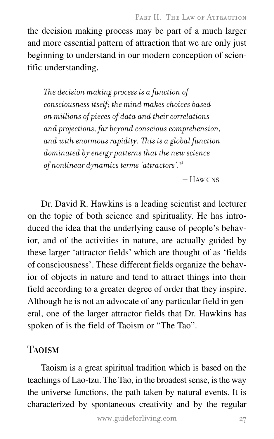the decision making process may be part of a much larger and more essential pattern of attraction that we are only just beginning to understand in our modern conception of scientific understanding.

*The decision making process is a function of consciousness itself; the mind makes choices based on millions of pieces of data and their correlations and projections, far beyond conscious comprehension, and with enormous rapidity. This is a global function dominated by energy patterns that the new science of nonlinear dynamics terms 'attractors'.23* 

– HAWKINS

Dr. David R. Hawkins is a leading scientist and lecturer on the topic of both science and spirituality. He has introduced the idea that the underlying cause of people's behavior, and of the activities in nature, are actually guided by these larger 'attractor fields' which are thought of as 'fields of consciousness'. These different fields organize the behavior of objects in nature and tend to attract things into their field according to a greater degree of order that they inspire. Although he is not an advocate of any particular field in general, one of the larger attractor fields that Dr. Hawkins has spoken of is the field of Taoism or "The Tao".

### **TAOISM**

Taoism is a great spiritual tradition which is based on the teachings of Lao-tzu. The Tao, in the broadest sense, is the way the universe functions, the path taken by natural events. It is characterized by spontaneous creativity and by the regular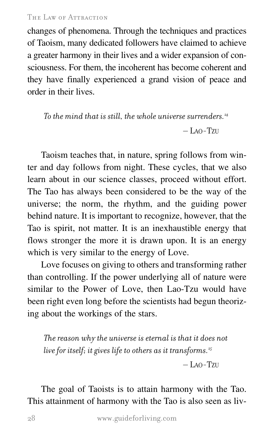changes of phenomena. Through the techniques and practices of Taoism, many dedicated followers have claimed to achieve a greater harmony in their lives and a wider expansion of consciousness. For them, the incoherent has become coherent and they have finally experienced a grand vision of peace and order in their lives.

To the mind that is still, the whole universe surrends.<sup>24</sup>  

$$
- \text{LAO-TZU}
$$

Taoism teaches that, in nature, spring follows from winter and day follows from night. These cycles, that we also learn about in our science classes, proceed without effort. The Tao has always been considered to be the way of the universe; the norm, the rhythm, and the guiding power behind nature. It is important to recognize, however, that the Tao is spirit, not matter. It is an inexhaustible energy that flows stronger the more it is drawn upon. It is an energy which is very similar to the energy of Love.

Love focuses on giving to others and transforming rather than controlling. If the power underlying all of nature were similar to the Power of Love, then Lao-Tzu would have been right even long before the scientists had begun theorizing about the workings of the stars.

*The reason why the universe is eternal is that it does not live for itself; it gives life to others as it transforms.25*   $-$ LAO-Tzu

The goal of Taoists is to attain harmony with the Tao. This attainment of harmony with the Tao is also seen as liv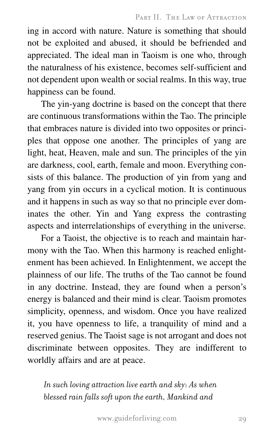ing in accord with nature. Nature is something that should not be exploited and abused, it should be befriended and appreciated. The ideal man in Taoism is one who, through the naturalness of his existence, becomes self-sufficient and not dependent upon wealth or social realms. In this way, true happiness can be found.

The yin-yang doctrine is based on the concept that there are continuous transformations within the Tao. The principle that embraces nature is divided into two opposites or principles that oppose one another. The principles of yang are light, heat, Heaven, male and sun. The principles of the yin are darkness, cool, earth, female and moon. Everything consists of this balance. The production of yin from yang and yang from yin occurs in a cyclical motion. It is continuous and it happens in such as way so that no principle ever dominates the other. Yin and Yang express the contrasting aspects and interrelationships of everything in the universe.

For a Taoist, the objective is to reach and maintain harmony with the Tao. When this harmony is reached enlightenment has been achieved. In Enlightenment, we accept the plainness of our life. The truths of the Tao cannot be found in any doctrine. Instead, they are found when a person's energy is balanced and their mind is clear. Taoism promotes simplicity, openness, and wisdom. Once you have realized it, you have openness to life, a tranquility of mind and a reserved genius. The Taoist sage is not arrogant and does not discriminate between opposites. They are indifferent to worldly affairs and are at peace.

*In such loving attraction live earth and sky: As when blessed rain falls soft upon the earth, Mankind and*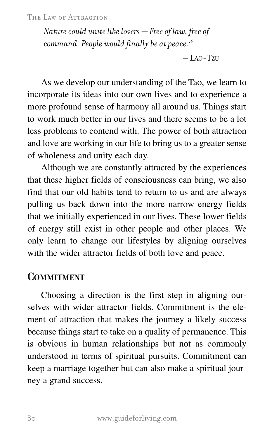*Nature could unite like lovers — Free of law, free of command, People would finally be at peace.*<sup>26</sup>  $-$  LAO-Tzu

As we develop our understanding of the Tao, we learn to incorporate its ideas into our own lives and to experience a more profound sense of harmony all around us. Things start to work much better in our lives and there seems to be a lot less problems to contend with. The power of both attraction and love are working in our life to bring us to a greater sense of wholeness and unity each day.

Although we are constantly attracted by the experiences that these higher fields of consciousness can bring, we also find that our old habits tend to return to us and are always pulling us back down into the more narrow energy fields that we initially experienced in our lives. These lower fields of energy still exist in other people and other places. We only learn to change our lifestyles by aligning ourselves with the wider attractor fields of both love and peace.

### **COMMITMENT**

Choosing a direction is the first step in aligning ourselves with wider attractor fields. Commitment is the element of attraction that makes the journey a likely success because things start to take on a quality of permanence. This is obvious in human relationships but not as commonly understood in terms of spiritual pursuits. Commitment can keep a marriage together but can also make a spiritual journey a grand success.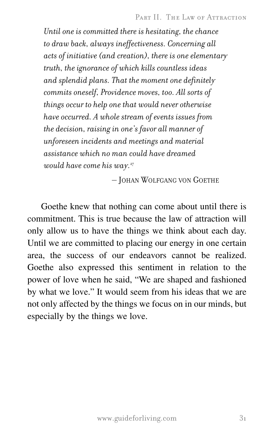*Until one is committed there is hesitating, the chance to draw back, always ineffectiveness. Concerning all acts of initiative (and creation), there is one elementary truth, the ignorance of which kills countless ideas and splendid plans. That the moment one definitely commits oneself, Providence moves, too. All sorts of things occur to help one that would never otherwise have occurred. A whole stream of events issues from the decision, raising in one's favor all manner of unforeseen incidents and meetings and material assistance which no man could have dreamed would have come his way.27*

– JOHAN WOLFGANG VON GOETHE

Goethe knew that nothing can come about until there is commitment. This is true because the law of attraction will only allow us to have the things we think about each day. Until we are committed to placing our energy in one certain area, the success of our endeavors cannot be realized. Goethe also expressed this sentiment in relation to the power of love when he said, "We are shaped and fashioned by what we love." It would seem from his ideas that we are not only affected by the things we focus on in our minds, but especially by the things we love.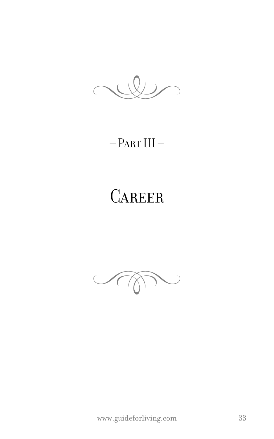$\sim$ 

# $-$  Part III $-$

# **CAREER**

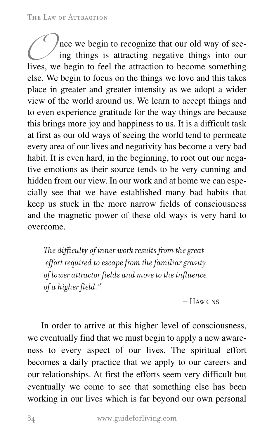nce we begin to recognize that our old way of seeing things is attracting negative things into our lives, we begin to feel the attraction to become something else. We begin to focus on the things we love and this takes place in greater and greater intensity as we adopt a wider view of the world around us. We learn to accept things and to even experience gratitude for the way things are because this brings more joy and happiness to us. It is a difficult task at first as our old ways of seeing the world tend to permeate every area of our lives and negativity has become a very bad habit. It is even hard, in the beginning, to root out our negative emotions as their source tends to be very cunning and hidden from our view. In our work and at home we can especially see that we have established many bad habits that keep us stuck in the more narrow fields of consciousness and the magnetic power of these old ways is very hard to overcome.

*The difficulty of inner work results from the great effort required to escape from the familiar gravity of lower attractor fields and move to the influence of a higher field.28*

– HAWKINS

In order to arrive at this higher level of consciousness, we eventually find that we must begin to apply a new awareness to every aspect of our lives. The spiritual effort becomes a daily practice that we apply to our careers and our relationships. At first the efforts seem very difficult but eventually we come to see that something else has been working in our lives which is far beyond our own personal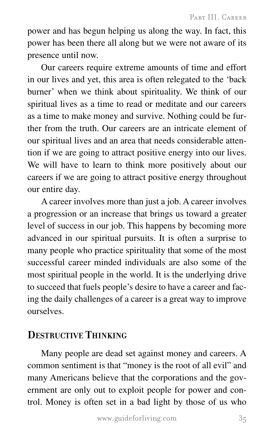power and has begun helping us along the way. In fact, this power has been there all along but we were not aware of its presence until now.

Our careers require extreme amounts of time and effort in our lives and yet, this area is often relegated to the 'back burner' when we think about spirituality. We think of our spiritual lives as a time to read or meditate and our careers as a time to make money and survive. Nothing could be further from the truth. Our careers are an intricate element of our spiritual lives and an area that needs considerable attention if we are going to attract positive energy into our lives. We will have to learn to think more positively about our careers if we are going to attract positive energy throughout our entire day.

A career involves more than just a job. A career involves a progression or an increase that brings us toward a greater level of success in our job. This happens by becoming more advanced in our spiritual pursuits. It is often a surprise to many people who practice spirituality that some of the most successful career minded individuals are also some of the most spiritual people in the world. It is the underlying drive to succeed that fuels people's desire to have a career and facing the daily challenges of a career is a great way to improve ourselves.

## **DESTRUCTIVE THINKING**

Many people are dead set against money and careers. A common sentiment is that "money is the root of all evil" and many Americans believe that the corporations and the government are only out to exploit people for power and control. Money is often set in a bad light by those of us who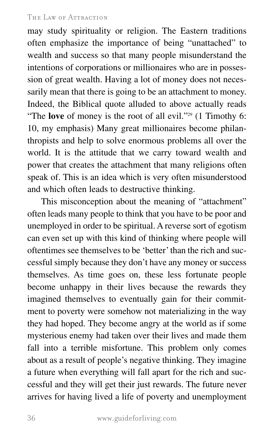### THE LAW OF ATTRACTION

may study spirituality or religion. The Eastern traditions often emphasize the importance of being "unattached" to wealth and success so that many people misunderstand the intentions of corporations or millionaires who are in possession of great wealth. Having a lot of money does not necessarily mean that there is going to be an attachment to money. Indeed, the Biblical quote alluded to above actually reads "The **love** of money is the root of all evil."<sup>29</sup> (1 Timothy 6: 10, my emphasis) Many great millionaires become philanthropists and help to solve enormous problems all over the world. It is the attitude that we carry toward wealth and power that creates the attachment that many religions often speak of. This is an idea which is very often misunderstood and which often leads to destructive thinking.

This misconception about the meaning of "attachment" often leads many people to think that you have to be poor and unemployed in order to be spiritual. A reverse sort of egotism can even set up with this kind of thinking where people will oftentimes see themselves to be 'better' than the rich and successful simply because they don't have any money or success themselves. As time goes on, these less fortunate people become unhappy in their lives because the rewards they imagined themselves to eventually gain for their commitment to poverty were somehow not materializing in the way they had hoped. They become angry at the world as if some mysterious enemy had taken over their lives and made them fall into a terrible misfortune. This problem only comes about as a result of people's negative thinking. They imagine a future when everything will fall apart for the rich and successful and they will get their just rewards. The future never arrives for having lived a life of poverty and unemployment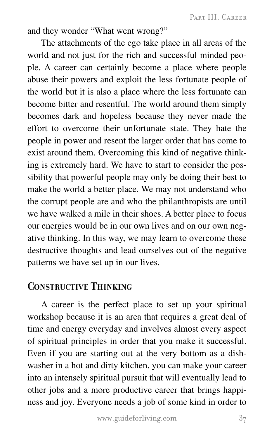and they wonder "What went wrong?"

The attachments of the ego take place in all areas of the world and not just for the rich and successful minded people. A career can certainly become a place where people abuse their powers and exploit the less fortunate people of the world but it is also a place where the less fortunate can become bitter and resentful. The world around them simply becomes dark and hopeless because they never made the effort to overcome their unfortunate state. They hate the people in power and resent the larger order that has come to exist around them. Overcoming this kind of negative thinking is extremely hard. We have to start to consider the possibility that powerful people may only be doing their best to make the world a better place. We may not understand who the corrupt people are and who the philanthropists are until we have walked a mile in their shoes. A better place to focus our energies would be in our own lives and on our own negative thinking. In this way, we may learn to overcome these destructive thoughts and lead ourselves out of the negative patterns we have set up in our lives.

### **CONSTRUCTIVE THINKING**

A career is the perfect place to set up your spiritual workshop because it is an area that requires a great deal of time and energy everyday and involves almost every aspect of spiritual principles in order that you make it successful. Even if you are starting out at the very bottom as a dishwasher in a hot and dirty kitchen, you can make your career into an intensely spiritual pursuit that will eventually lead to other jobs and a more productive career that brings happiness and joy. Everyone needs a job of some kind in order to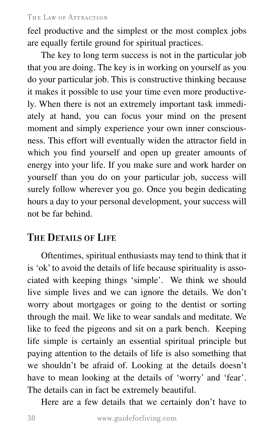feel productive and the simplest or the most complex jobs are equally fertile ground for spiritual practices.

The key to long term success is not in the particular job that you are doing. The key is in working on yourself as you do your particular job. This is constructive thinking because it makes it possible to use your time even more productively. When there is not an extremely important task immediately at hand, you can focus your mind on the present moment and simply experience your own inner consciousness. This effort will eventually widen the attractor field in which you find yourself and open up greater amounts of energy into your life. If you make sure and work harder on yourself than you do on your particular job, success will surely follow wherever you go. Once you begin dedicating hours a day to your personal development, your success will not be far behind.

## **THE DETAILS OF LIFE**

Oftentimes, spiritual enthusiasts may tend to think that it is 'ok' to avoid the details of life because spirituality is associated with keeping things 'simple'. We think we should live simple lives and we can ignore the details. We don't worry about mortgages or going to the dentist or sorting through the mail. We like to wear sandals and meditate. We like to feed the pigeons and sit on a park bench. Keeping life simple is certainly an essential spiritual principle but paying attention to the details of life is also something that we shouldn't be afraid of. Looking at the details doesn't have to mean looking at the details of 'worry' and 'fear'. The details can in fact be extremely beautiful.

Here are a few details that we certainly don't have to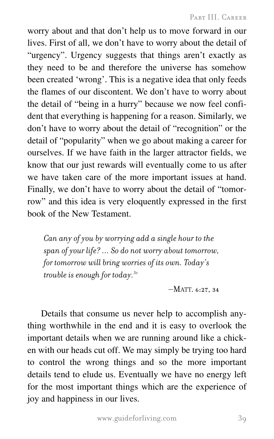#### PART III. CAREER

worry about and that don't help us to move forward in our lives. First of all, we don't have to worry about the detail of "urgency". Urgency suggests that things aren't exactly as they need to be and therefore the universe has somehow been created 'wrong'. This is a negative idea that only feeds the flames of our discontent. We don't have to worry about the detail of "being in a hurry" because we now feel confident that everything is happening for a reason. Similarly, we don't have to worry about the detail of "recognition" or the detail of "popularity" when we go about making a career for ourselves. If we have faith in the larger attractor fields, we know that our just rewards will eventually come to us after we have taken care of the more important issues at hand. Finally, we don't have to worry about the detail of "tomorrow" and this idea is very eloquently expressed in the first book of the New Testament.

*Can any of you by worrying add a single hour to the span of your life? ... So do not worry about tomorrow, for tomorrow will bring worries of its own. Today's trouble is enough for today.30*

 $-MATT. 6:27.34$ 

Details that consume us never help to accomplish anything worthwhile in the end and it is easy to overlook the important details when we are running around like a chicken with our heads cut off. We may simply be trying too hard to control the wrong things and so the more important details tend to elude us. Eventually we have no energy left for the most important things which are the experience of joy and happiness in our lives.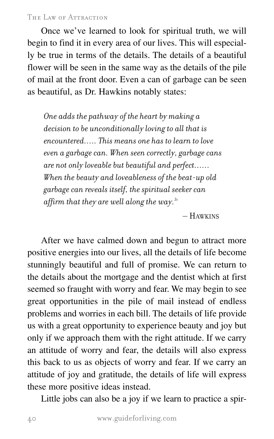Once we've learned to look for spiritual truth, we will begin to find it in every area of our lives. This will especially be true in terms of the details. The details of a beautiful flower will be seen in the same way as the details of the pile of mail at the front door. Even a can of garbage can be seen as beautiful, as Dr. Hawkins notably states:

*One adds the pathway of the heart by making a decision to be unconditionally loving to all that is encountered….. This means one has to learn to love even a garbage can. When seen correctly, garbage cans are not only loveable but beautiful and perfect…… When the beauty and loveableness of the beat-up old garbage can reveals itself, the spiritual seeker can affirm that they are well along the way.31*

– HAWKINS

After we have calmed down and begun to attract more positive energies into our lives, all the details of life become stunningly beautiful and full of promise. We can return to the details about the mortgage and the dentist which at first seemed so fraught with worry and fear. We may begin to see great opportunities in the pile of mail instead of endless problems and worries in each bill. The details of life provide us with a great opportunity to experience beauty and joy but only if we approach them with the right attitude. If we carry an attitude of worry and fear, the details will also express this back to us as objects of worry and fear. If we carry an attitude of joy and gratitude, the details of life will express these more positive ideas instead.

Little jobs can also be a joy if we learn to practice a spir-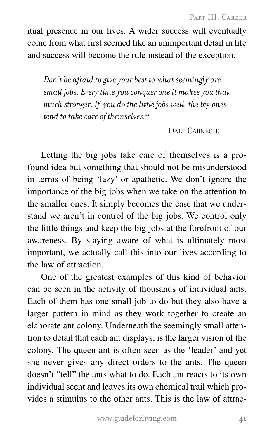itual presence in our lives. A wider success will eventually come from what first seemed like an unimportant detail in life and success will become the rule instead of the exception.

*Don't be afraid to give your best to what seemingly are small jobs. Every time you conquer one it makes you that much stronger. If you do the little jobs well, the big ones tend to take care of themselves.32*

– DALE CARNEGIE

Letting the big jobs take care of themselves is a profound idea but something that should not be misunderstood in terms of being 'lazy' or apathetic. We don't ignore the importance of the big jobs when we take on the attention to the smaller ones. It simply becomes the case that we understand we aren't in control of the big jobs. We control only the little things and keep the big jobs at the forefront of our awareness. By staying aware of what is ultimately most important, we actually call this into our lives according to the law of attraction.

One of the greatest examples of this kind of behavior can be seen in the activity of thousands of individual ants. Each of them has one small job to do but they also have a larger pattern in mind as they work together to create an elaborate ant colony. Underneath the seemingly small attention to detail that each ant displays, is the larger vision of the colony. The queen ant is often seen as the 'leader' and yet she never gives any direct orders to the ants. The queen doesn't "tell" the ants what to do. Each ant reacts to its own individual scent and leaves its own chemical trail which provides a stimulus to the other ants. This is the law of attrac-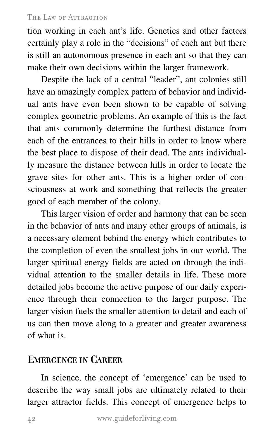tion working in each ant's life. Genetics and other factors certainly play a role in the "decisions" of each ant but there is still an autonomous presence in each ant so that they can make their own decisions within the larger framework.

Despite the lack of a central "leader", ant colonies still have an amazingly complex pattern of behavior and individual ants have even been shown to be capable of solving complex geometric problems. An example of this is the fact that ants commonly determine the furthest distance from each of the entrances to their hills in order to know where the best place to dispose of their dead. The ants individually measure the distance between hills in order to locate the grave sites for other ants. This is a higher order of consciousness at work and something that reflects the greater good of each member of the colony.

This larger vision of order and harmony that can be seen in the behavior of ants and many other groups of animals, is a necessary element behind the energy which contributes to the completion of even the smallest jobs in our world. The larger spiritual energy fields are acted on through the individual attention to the smaller details in life. These more detailed jobs become the active purpose of our daily experience through their connection to the larger purpose. The larger vision fuels the smaller attention to detail and each of us can then move along to a greater and greater awareness of what is.

## **EMERGENCE IN CAREER**

In science, the concept of 'emergence' can be used to describe the way small jobs are ultimately related to their larger attractor fields. This concept of emergence helps to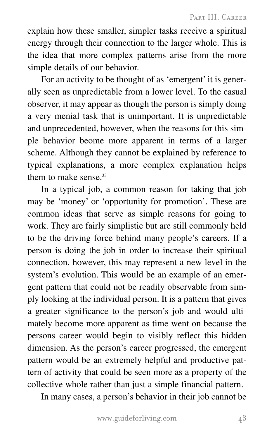PART III. CAREER

explain how these smaller, simpler tasks receive a spiritual energy through their connection to the larger whole. This is the idea that more complex patterns arise from the more simple details of our behavior.

For an activity to be thought of as 'emergent' it is generally seen as unpredictable from a lower level. To the casual observer, it may appear as though the person is simply doing a very menial task that is unimportant. It is unpredictable and unprecedented, however, when the reasons for this simple behavior beome more apparent in terms of a larger scheme. Although they cannot be explained by reference to typical explanations, a more complex explanation helps them to make sense.<sup>33</sup>

In a typical job, a common reason for taking that job may be 'money' or 'opportunity for promotion'. These are common ideas that serve as simple reasons for going to work. They are fairly simplistic but are still commonly held to be the driving force behind many people's careers. If a person is doing the job in order to increase their spiritual connection, however, this may represent a new level in the system's evolution. This would be an example of an emergent pattern that could not be readily observable from simply looking at the individual person. It is a pattern that gives a greater significance to the person's job and would ultimately become more apparent as time went on because the persons career would begin to visibly reflect this hidden dimension. As the person's career progressed, the emergent pattern would be an extremely helpful and productive pattern of activity that could be seen more as a property of the collective whole rather than just a simple financial pattern.

In many cases, a person's behavior in their job cannot be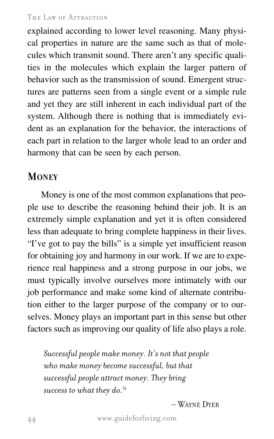explained according to lower level reasoning. Many physical properties in nature are the same such as that of molecules which transmit sound. There aren't any specific qualities in the molecules which explain the larger pattern of behavior such as the transmission of sound. Emergent structures are patterns seen from a single event or a simple rule and yet they are still inherent in each individual part of the system. Although there is nothing that is immediately evident as an explanation for the behavior, the interactions of each part in relation to the larger whole lead to an order and harmony that can be seen by each person.

### **MONEY**

Money is one of the most common explanations that people use to describe the reasoning behind their job. It is an extremely simple explanation and yet it is often considered less than adequate to bring complete happiness in their lives. "I've got to pay the bills" is a simple yet insufficient reason for obtaining joy and harmony in our work. If we are to experience real happiness and a strong purpose in our jobs, we must typically involve ourselves more intimately with our job performance and make some kind of alternate contribution either to the larger purpose of the company or to ourselves. Money plays an important part in this sense but other factors such as improving our quality of life also plays a role.

*Successful people make money. It's not that people who make money become successful, but that successful people attract money. They bring success to what they do.34*

– WAYNE DYER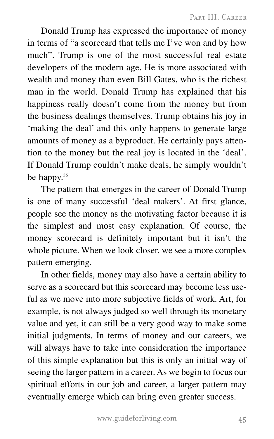Donald Trump has expressed the importance of money in terms of "a scorecard that tells me I've won and by how much". Trump is one of the most successful real estate developers of the modern age. He is more associated with wealth and money than even Bill Gates, who is the richest man in the world. Donald Trump has explained that his happiness really doesn't come from the money but from the business dealings themselves. Trump obtains his joy in 'making the deal' and this only happens to generate large amounts of money as a byproduct. He certainly pays attention to the money but the real joy is located in the 'deal'. If Donald Trump couldn't make deals, he simply wouldn't be happy.<sup>35</sup>

The pattern that emerges in the career of Donald Trump is one of many successful 'deal makers'. At first glance, people see the money as the motivating factor because it is the simplest and most easy explanation. Of course, the money scorecard is definitely important but it isn't the whole picture. When we look closer, we see a more complex pattern emerging.

In other fields, money may also have a certain ability to serve as a scorecard but this scorecard may become less useful as we move into more subjective fields of work. Art, for example, is not always judged so well through its monetary value and yet, it can still be a very good way to make some initial judgments. In terms of money and our careers, we will always have to take into consideration the importance of this simple explanation but this is only an initial way of seeing the larger pattern in a career. As we begin to focus our spiritual efforts in our job and career, a larger pattern may eventually emerge which can bring even greater success.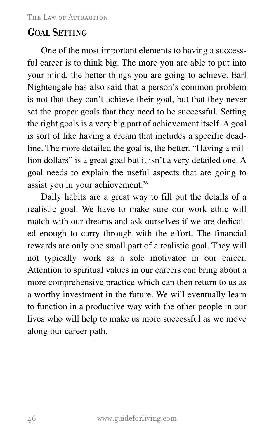# **GOAL SETTING**

One of the most important elements to having a successful career is to think big. The more you are able to put into your mind, the better things you are going to achieve. Earl Nightengale has also said that a person's common problem is not that they can't achieve their goal, but that they never set the proper goals that they need to be successful. Setting the right goals is a very big part of achievement itself. A goal is sort of like having a dream that includes a specific deadline. The more detailed the goal is, the better. "Having a million dollars" is a great goal but it isn't a very detailed one. A goal needs to explain the useful aspects that are going to assist you in your achievement.36

Daily habits are a great way to fill out the details of a realistic goal. We have to make sure our work ethic will match with our dreams and ask ourselves if we are dedicated enough to carry through with the effort. The financial rewards are only one small part of a realistic goal. They will not typically work as a sole motivator in our career. Attention to spiritual values in our careers can bring about a more comprehensive practice which can then return to us as a worthy investment in the future. We will eventually learn to function in a productive way with the other people in our lives who will help to make us more successful as we move along our career path.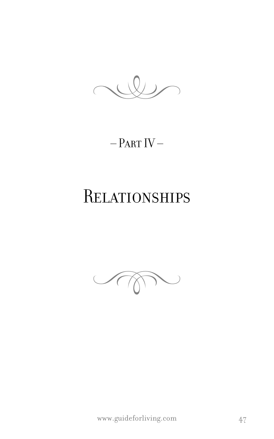$\sim$ 

# $-$  Part IV  $-$

# Relationships

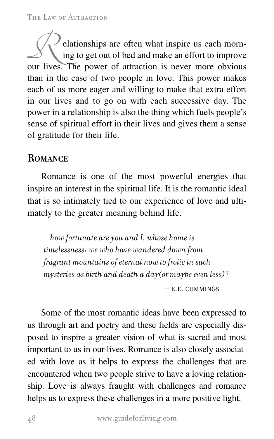elationships are often what inspire us each morning to get out of bed and make an effort to improve our lives. The power of attraction is never more obvious than in the case of two people in love. This power makes each of us more eager and willing to make that extra effort in our lives and to go on with each successive day. The power in a relationship is also the thing which fuels people's sense of spiritual effort in their lives and gives them a sense of gratitude for their life.

### **ROMANCE**

Romance is one of the most powerful energies that inspire an interest in the spiritual life. It is the romantic ideal that is so intimately tied to our experience of love and ultimately to the greater meaning behind life.

*– how fortunate are you and I, whose home is timelessness: we who have wandered down from fragrant mountains of eternal now to frolic in such mysteries as birth and death a day(or maybe even less)<sup>27</sup>* 

– E.E. CUMMINGS

Some of the most romantic ideas have been expressed to us through art and poetry and these fields are especially disposed to inspire a greater vision of what is sacred and most important to us in our lives. Romance is also closely associated with love as it helps to express the challenges that are encountered when two people strive to have a loving relationship. Love is always fraught with challenges and romance helps us to express these challenges in a more positive light.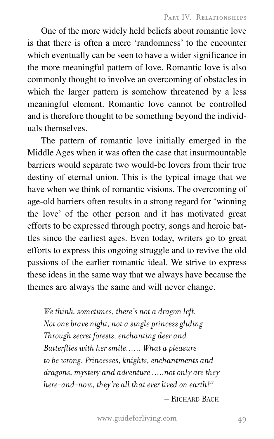One of the more widely held beliefs about romantic love is that there is often a mere 'randomness' to the encounter which eventually can be seen to have a wider significance in the more meaningful pattern of love. Romantic love is also commonly thought to involve an overcoming of obstacles in which the larger pattern is somehow threatened by a less meaningful element. Romantic love cannot be controlled and is therefore thought to be something beyond the individuals themselves.

The pattern of romantic love initially emerged in the Middle Ages when it was often the case that insurmountable barriers would separate two would-be lovers from their true destiny of eternal union. This is the typical image that we have when we think of romantic visions. The overcoming of age-old barriers often results in a strong regard for 'winning the love' of the other person and it has motivated great efforts to be expressed through poetry, songs and heroic battles since the earliest ages. Even today, writers go to great efforts to express this ongoing struggle and to revive the old passions of the earlier romantic ideal. We strive to express these ideas in the same way that we always have because the themes are always the same and will never change.

*We think, sometimes, there's not a dragon left. Not one brave night, not a single princess gliding Through secret forests, enchanting deer and Butterflies with her smile…… What a pleasure to be wrong. Princesses, knights, enchantments and dragons, mystery and adventure …..not only are they here-and-now, they're all that ever lived on earth!38*

– RICHARD BACH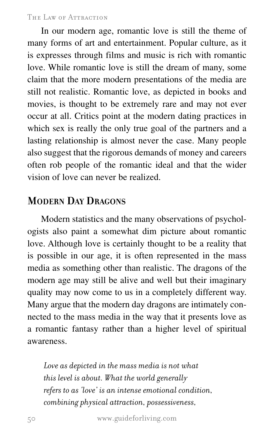In our modern age, romantic love is still the theme of many forms of art and entertainment. Popular culture, as it is expresses through films and music is rich with romantic love. While romantic love is still the dream of many, some claim that the more modern presentations of the media are still not realistic. Romantic love, as depicted in books and movies, is thought to be extremely rare and may not ever occur at all. Critics point at the modern dating practices in which sex is really the only true goal of the partners and a lasting relationship is almost never the case. Many people also suggest that the rigorous demands of money and careers often rob people of the romantic ideal and that the wider vision of love can never be realized.

### **MODERN DAY DRAGONS**

Modern statistics and the many observations of psychologists also paint a somewhat dim picture about romantic love. Although love is certainly thought to be a reality that is possible in our age, it is often represented in the mass media as something other than realistic. The dragons of the modern age may still be alive and well but their imaginary quality may now come to us in a completely different way. Many argue that the modern day dragons are intimately connected to the mass media in the way that it presents love as a romantic fantasy rather than a higher level of spiritual awareness.

*Love as depicted in the mass media is not what this level is about. What the world generally refers to as 'love' is an intense emotional condition, combining physical attraction, possessiveness,* 

50 www.guideforliving.com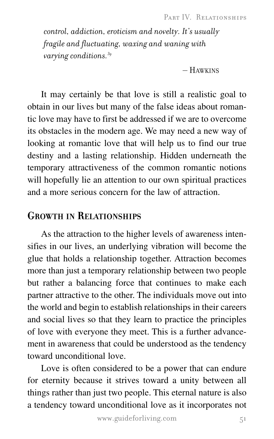*control, addiction, eroticism and novelty. It's usually fragile and fluctuating, waxing and waning with varying conditions.39*

– HAWKINS

It may certainly be that love is still a realistic goal to obtain in our lives but many of the false ideas about romantic love may have to first be addressed if we are to overcome its obstacles in the modern age. We may need a new way of looking at romantic love that will help us to find our true destiny and a lasting relationship. Hidden underneath the temporary attractiveness of the common romantic notions will hopefully lie an attention to our own spiritual practices and a more serious concern for the law of attraction.

### **GROWTH IN RELATIONSHIPS**

As the attraction to the higher levels of awareness intensifies in our lives, an underlying vibration will become the glue that holds a relationship together. Attraction becomes more than just a temporary relationship between two people but rather a balancing force that continues to make each partner attractive to the other. The individuals move out into the world and begin to establish relationships in their careers and social lives so that they learn to practice the principles of love with everyone they meet. This is a further advancement in awareness that could be understood as the tendency toward unconditional love.

Love is often considered to be a power that can endure for eternity because it strives toward a unity between all things rather than just two people. This eternal nature is also a tendency toward unconditional love as it incorporates not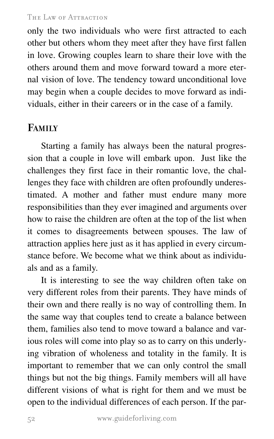only the two individuals who were first attracted to each other but others whom they meet after they have first fallen in love. Growing couples learn to share their love with the others around them and move forward toward a more eternal vision of love. The tendency toward unconditional love may begin when a couple decides to move forward as individuals, either in their careers or in the case of a family.

### **FAMILY**

Starting a family has always been the natural progression that a couple in love will embark upon. Just like the challenges they first face in their romantic love, the challenges they face with children are often profoundly underestimated. A mother and father must endure many more responsibilities than they ever imagined and arguments over how to raise the children are often at the top of the list when it comes to disagreements between spouses. The law of attraction applies here just as it has applied in every circumstance before. We become what we think about as individuals and as a family.

It is interesting to see the way children often take on very different roles from their parents. They have minds of their own and there really is no way of controlling them. In the same way that couples tend to create a balance between them, families also tend to move toward a balance and various roles will come into play so as to carry on this underlying vibration of wholeness and totality in the family. It is important to remember that we can only control the small things but not the big things. Family members will all have different visions of what is right for them and we must be open to the individual differences of each person. If the par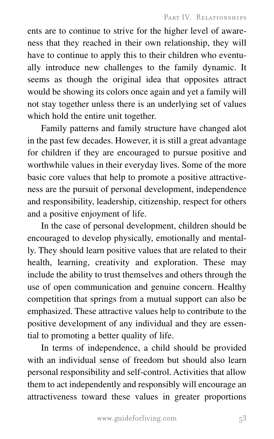ents are to continue to strive for the higher level of awareness that they reached in their own relationship, they will have to continue to apply this to their children who eventually introduce new challenges to the family dynamic. It seems as though the original idea that opposites attract would be showing its colors once again and yet a family will not stay together unless there is an underlying set of values which hold the entire unit together.

Family patterns and family structure have changed alot in the past few decades. However, it is still a great advantage for children if they are encouraged to pursue positive and worthwhile values in their everyday lives. Some of the more basic core values that help to promote a positive attractiveness are the pursuit of personal development, independence and responsibility, leadership, citizenship, respect for others and a positive enjoyment of life.

In the case of personal development, children should be encouraged to develop physically, emotionally and mentally. They should learn positive values that are related to their health, learning, creativity and exploration. These may include the ability to trust themselves and others through the use of open communication and genuine concern. Healthy competition that springs from a mutual support can also be emphasized. These attractive values help to contribute to the positive development of any individual and they are essential to promoting a better quality of life.

In terms of independence, a child should be provided with an individual sense of freedom but should also learn personal responsibility and self-control. Activities that allow them to act independently and responsibly will encourage an attractiveness toward these values in greater proportions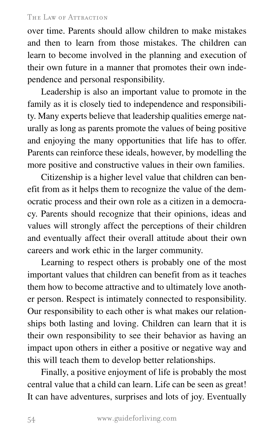over time. Parents should allow children to make mistakes and then to learn from those mistakes. The children can learn to become involved in the planning and execution of their own future in a manner that promotes their own independence and personal responsibility.

Leadership is also an important value to promote in the family as it is closely tied to independence and responsibility. Many experts believe that leadership qualities emerge naturally as long as parents promote the values of being positive and enjoying the many opportunities that life has to offer. Parents can reinforce these ideals, however, by modelling the more positive and constructive values in their own families.

Citizenship is a higher level value that children can benefit from as it helps them to recognize the value of the democratic process and their own role as a citizen in a democracy. Parents should recognize that their opinions, ideas and values will strongly affect the perceptions of their children and eventually affect their overall attitude about their own careers and work ethic in the larger community.

Learning to respect others is probably one of the most important values that children can benefit from as it teaches them how to become attractive and to ultimately love another person. Respect is intimately connected to responsibility. Our responsibility to each other is what makes our relationships both lasting and loving. Children can learn that it is their own responsibility to see their behavior as having an impact upon others in either a positive or negative way and this will teach them to develop better relationships.

Finally, a positive enjoyment of life is probably the most central value that a child can learn. Life can be seen as great! It can have adventures, surprises and lots of joy. Eventually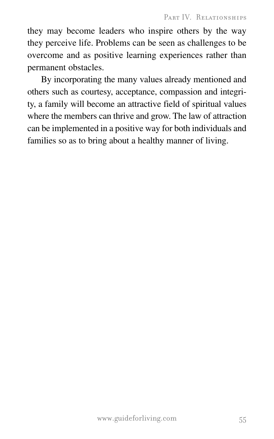they may become leaders who inspire others by the way they perceive life. Problems can be seen as challenges to be overcome and as positive learning experiences rather than permanent obstacles.

By incorporating the many values already mentioned and others such as courtesy, acceptance, compassion and integrity, a family will become an attractive field of spiritual values where the members can thrive and grow. The law of attraction can be implemented in a positive way for both individuals and families so as to bring about a healthy manner of living.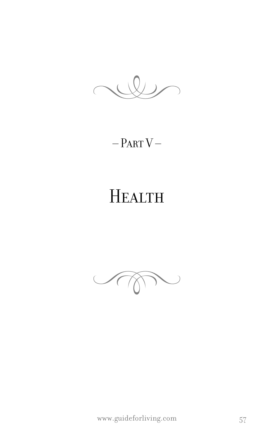$\sim$ 

# $-$  Part V $-$

# **HEALTH**



www.guideforliving.com 57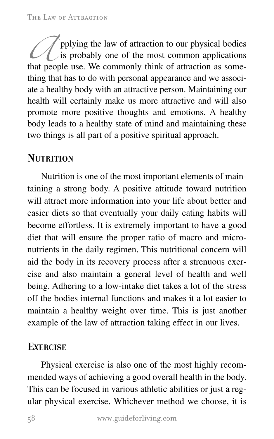pplying the law of attraction to our physical bodies  $\overline{\phantom{a}}$  is probably one of the most common applications that people use. We commonly think of attraction as something that has to do with personal appearance and we associate a healthy body with an attractive person. Maintaining our health will certainly make us more attractive and will also promote more positive thoughts and emotions. A healthy body leads to a healthy state of mind and maintaining these two things is all part of a positive spiritual approach.

## **NUTRITION**

Nutrition is one of the most important elements of maintaining a strong body. A positive attitude toward nutrition will attract more information into your life about better and easier diets so that eventually your daily eating habits will become effortless. It is extremely important to have a good diet that will ensure the proper ratio of macro and micronutrients in the daily regimen. This nutritional concern will aid the body in its recovery process after a strenuous exercise and also maintain a general level of health and well being. Adhering to a low-intake diet takes a lot of the stress off the bodies internal functions and makes it a lot easier to maintain a healthy weight over time. This is just another example of the law of attraction taking effect in our lives.

## **EXERCISE**

Physical exercise is also one of the most highly recommended ways of achieving a good overall health in the body. This can be focused in various athletic abilities or just a regular physical exercise. Whichever method we choose, it is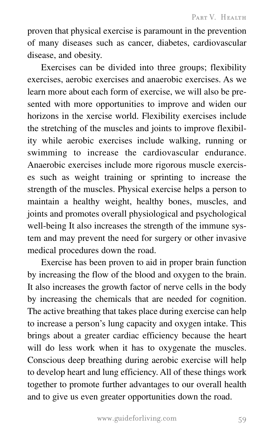proven that physical exercise is paramount in the prevention of many diseases such as cancer, diabetes, cardiovascular disease, and obesity.

Exercises can be divided into three groups; flexibility exercises, aerobic exercises and anaerobic exercises. As we learn more about each form of exercise, we will also be presented with more opportunities to improve and widen our horizons in the xercise world. Flexibility exercises include the stretching of the muscles and joints to improve flexibility while aerobic exercises include walking, running or swimming to increase the cardiovascular endurance. Anaerobic exercises include more rigorous muscle exercises such as weight training or sprinting to increase the strength of the muscles. Physical exercise helps a person to maintain a healthy weight, healthy bones, muscles, and joints and promotes overall physiological and psychological well-being It also increases the strength of the immune system and may prevent the need for surgery or other invasive medical procedures down the road.

Exercise has been proven to aid in proper brain function by increasing the flow of the blood and oxygen to the brain. It also increases the growth factor of nerve cells in the body by increasing the chemicals that are needed for cognition. The active breathing that takes place during exercise can help to increase a person's lung capacity and oxygen intake. This brings about a greater cardiac efficiency because the heart will do less work when it has to oxygenate the muscles. Conscious deep breathing during aerobic exercise will help to develop heart and lung efficiency. All of these things work together to promote further advantages to our overall health and to give us even greater opportunities down the road.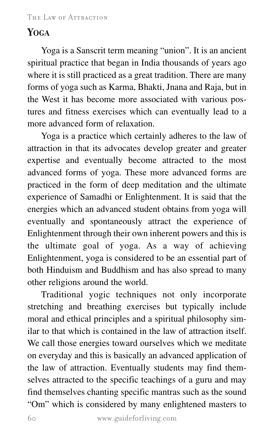# **YOGA**

Yoga is a Sanscrit term meaning "union". It is an ancient spiritual practice that began in India thousands of years ago where it is still practiced as a great tradition. There are many forms of yoga such as Karma, Bhakti, Jnana and Raja, but in the West it has become more associated with various postures and fitness exercises which can eventually lead to a more advanced form of relaxation.

Yoga is a practice which certainly adheres to the law of attraction in that its advocates develop greater and greater expertise and eventually become attracted to the most advanced forms of yoga. These more advanced forms are practiced in the form of deep meditation and the ultimate experience of Samadhi or Enlightenment. It is said that the energies which an advanced student obtains from yoga will eventually and spontaneously attract the experience of Enlightenment through their own inherent powers and this is the ultimate goal of yoga. As a way of achieving Enlightenment, yoga is considered to be an essential part of both Hinduism and Buddhism and has also spread to many other religions around the world.

Traditional yogic techniques not only incorporate stretching and breathing exercises but typically include moral and ethical principles and a spiritual philosophy similar to that which is contained in the law of attraction itself. We call those energies toward ourselves which we meditate on everyday and this is basically an advanced application of the law of attraction. Eventually students may find themselves attracted to the specific teachings of a guru and may find themselves chanting specific mantras such as the sound "Om" which is considered by many enlightened masters to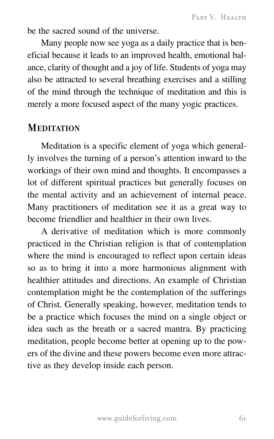be the sacred sound of the universe.

Many people now see yoga as a daily practice that is beneficial because it leads to an improved health, emotional balance, clarity of thought and a joy of life. Students of yoga may also be attracted to several breathing exercises and a stilling of the mind through the technique of meditation and this is merely a more focused aspect of the many yogic practices.

### **MEDITATION**

Meditation is a specific element of yoga which generally involves the turning of a person's attention inward to the workings of their own mind and thoughts. It encompasses a lot of different spiritual practices but generally focuses on the mental activity and an achievement of internal peace. Many practitioners of meditation see it as a great way to become friendlier and healthier in their own lives.

A derivative of meditation which is more commonly practiced in the Christian religion is that of contemplation where the mind is encouraged to reflect upon certain ideas so as to bring it into a more harmonious alignment with healthier attitudes and directions. An example of Christian contemplation might be the contemplation of the sufferings of Christ. Generally speaking, however, meditation tends to be a practice which focuses the mind on a single object or idea such as the breath or a sacred mantra. By practicing meditation, people become better at opening up to the powers of the divine and these powers become even more attractive as they develop inside each person.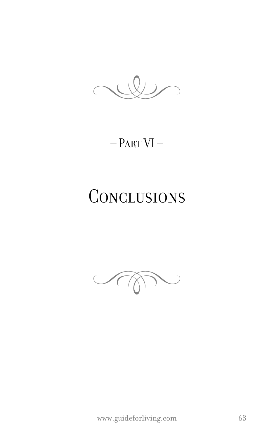$\sim$ 

## $-$  PART VI $-$

## **CONCLUSIONS**

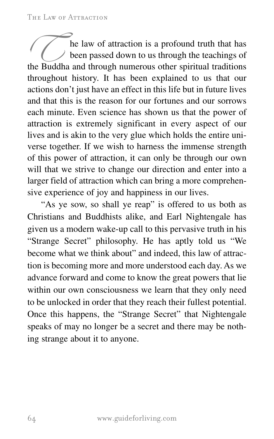The law of attraction is a profound truth that has<br>the Buddha and through numerous other spiritual traditions<br>through numerous other spiritual traditions been passed down to us through the teachings of throughout history. It has been explained to us that our actions don't just have an effect in this life but in future lives and that this is the reason for our fortunes and our sorrows each minute. Even science has shown us that the power of attraction is extremely significant in every aspect of our lives and is akin to the very glue which holds the entire universe together. If we wish to harness the immense strength of this power of attraction, it can only be through our own will that we strive to change our direction and enter into a larger field of attraction which can bring a more comprehensive experience of joy and happiness in our lives.

"As ye sow, so shall ye reap" is offered to us both as Christians and Buddhists alike, and Earl Nightengale has given us a modern wake-up call to this pervasive truth in his "Strange Secret" philosophy. He has aptly told us "We become what we think about" and indeed, this law of attraction is becoming more and more understood each day. As we advance forward and come to know the great powers that lie within our own consciousness we learn that they only need to be unlocked in order that they reach their fullest potential. Once this happens, the "Strange Secret" that Nightengale speaks of may no longer be a secret and there may be nothing strange about it to anyone.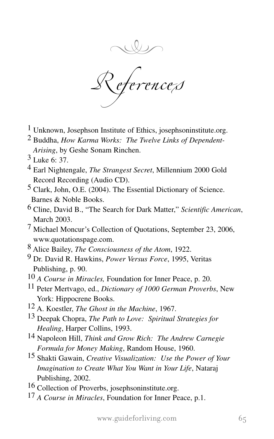$\sim$ 

References

- 1 Unknown, Josephson Institute of Ethics, josephsoninstitute.org.
- 2 Buddha, *How Karma Works: The Twelve Links of Dependent-Arising*, by Geshe Sonam Rinchen.
- 3 Luke 6: 37.
- 4 Earl Nightengale, *The Strangest Secret*, Millennium 2000 Gold Record Recording (Audio CD).
- 5 Clark, John, O.E. (2004). The Essential Dictionary of Science. Barnes & Noble Books.
- 6 Cline, David B., "The Search for Dark Matter," *Scientific American*, March 2003.
- 7 Michael Moncur's Collection of Quotations, September 23, 2006, www.quotationspage.com.
- 8 Alice Bailey, *The Consciousness of the Atom*, 1922.
- 9 Dr. David R. Hawkins, *Power Versus Force*, 1995, Veritas Publishing, p. 90.
- 10 *A Course in Miracles,* Foundation for Inner Peace, p. 20.
- 11 Peter Mertvago, ed., *Dictionary of 1000 German Proverbs*, New York: Hippocrene Books.
- 12 A. Koestler, *The Ghost in the Machine*, 1967.
- 13 Deepak Chopra, *The Path to Love: Spiritual Strategies for Healing*, Harper Collins, 1993.
- 14 Napoleon Hill, *Think and Grow Rich: The Andrew Carnegie Formula for Money Making*, Random House, 1960.
- 15 Shakti Gawain, *Creative Visualization: Use the Power of Your Imagination to Create What You Want in Your Life*, Nataraj Publishing, 2002.
- 16 Collection of Proverbs, josephsoninstitute.org.
- 17 *A Course in Miracles*, Foundation for Inner Peace, p.1.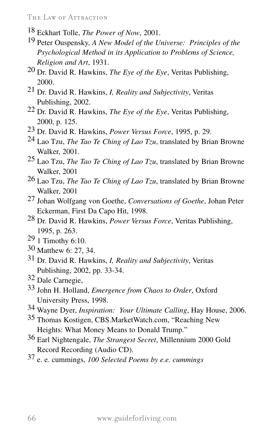- 18 Eckhart Tolle, *The Power of Now*, 2001.
- 19 Peter Ouspensky, *A New Model of the Universe: Principles of the Psychological Method in its Application to Problems of Science, Religion and Art*, 1931.
- 20 Dr. David R. Hawkins, *The Eye of the Eye*, Veritas Publishing, 2000.
- 21 Dr. David R. Hawkins, *I, Reality and Subjectivity*, Veritas Publishing, 2002.
- 22 Dr. David R. Hawkins, *The Eye of the Eye*, Veritas Publishing, 2000, p. 125.
- 23 Dr. David R. Hawkins, *Power Versus Force*, 1995, p. 29.
- 24 Lao Tzu, *The Tao Te Ching of Lao Tzu*, translated by Brian Browne Walker, 2001.
- 25 Lao Tzu, *The Tao Te Ching of Lao Tzu*, translated by Brian Browne Walker, 2001
- 26 Lao Tzu, *The Tao Te Ching of Lao Tzu*, translated by Brian Browne Walker, 2001
- 27 Johan Wolfgang von Goethe, *Conversations of Goethe*, Johan Peter Eckerman, First Da Capo Hit, 1998.
- 28 Dr. David R. Hawkins, *Power Versus Force*, Veritas Publishing, 1995, p. 263.
- 29 1 Timothy 6:10.
- 30 Matthew 6: 27, 34.
- 31 Dr. David R. Hawkins, *I, Reality and Subjectivity*, Veritas Publishing, 2002, pp. 33-34.
- 32 Dale Carnegie,
- 33 John H. Holland, *Emergence from Chaos to Order*, Oxford University Press, 1998.
- 34 Wayne Dyer, *Inspiration: Your Ultimate Calling*, Hay House, 2006.
- 35 Thomas Kostigen, CBS.MarketWatch.com, "Reaching New Heights: What Money Means to Donald Trump."
- 36 Earl Nightengale, *The Strangest Secret*, Millennium 2000 Gold Record Recording (Audio CD).
- 37 e. e. cummings, *100 Selected Poems by e.e. cummings*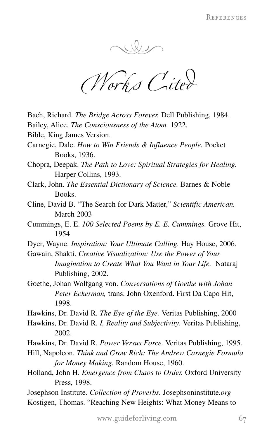$\sim$ 

Works Cited

- Bach, Richard. *The Bridge Across Forever.* Dell Publishing, 1984. Bailey, Alice. *The Consciousness of the Atom.* 1922. Bible, King James Version.
- Carnegie, Dale. *How to Win Friends & Influence People.* Pocket Books, 1936.
- Chopra, Deepak. *The Path to Love: Spiritual Strategies for Healing.* Harper Collins, 1993.
- Clark, John. *The Essential Dictionary of Science.* Barnes & Noble Books.
- Cline, David B. "The Search for Dark Matter," *Scientific American.* March 2003
- Cummings, E. E. *100 Selected Poems by E. E. Cummings.* Grove Hit, 1954
- Dyer, Wayne. *Inspiration: Your Ultimate Calling.* Hay House, 2006.
- Gawain, Shakti. *Creative Visualization: Use the Power of Your Imagination to Create What You Want in Your Life.* Nataraj Publishing, 2002.
- Goethe, Johan Wolfgang von. *Conversations of Goethe with Johan Peter Eckerman,* trans. John Oxenford. First Da Capo Hit, 1998.

Hawkins, Dr. David R. *The Eye of the Eye.* Veritas Publishing, 2000

- Hawkins, Dr. David R. *I, Reality and Subjectivity*. Veritas Publishing, 2002.
- Hawkins, Dr. David R. *Power Versus Force.* Veritas Publishing, 1995.
- Hill, Napoleon. *Think and Grow Rich: The Andrew Carnegie Formula for Money Making.* Random House, 1960.
- Holland, John H. *Emergence from Chaos to Order.* Oxford University Press, 1998.

Josephson Institute. *Collection of Proverbs.* Josephsoninstitute*.org* Kostigen, Thomas. "Reaching New Heights: What Money Means to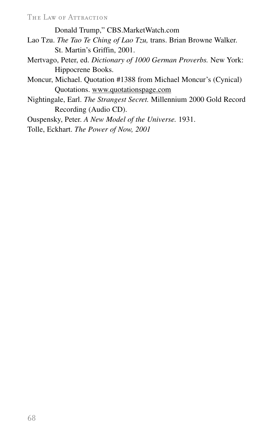Donald Trump," CBS.MarketWatch.com

- Lao Tzu. *The Tao Te Ching of Lao Tzu,* trans. Brian Browne Walker. St. Martin's Griffin, 2001.
- Mertvago, Peter, ed. *Dictionary of 1000 German Proverbs.* New York: Hippocrene Books.
- Moncur, Michael. Quotation #1388 from Michael Moncur's (Cynical) Quotations. www.quotationspage.com
- Nightingale, Earl. *The Strangest Secret.* Millennium 2000 Gold Record Recording (Audio CD).
- Ouspensky, Peter. *A New Model of the Universe.* 1931.
- Tolle, Eckhart. *The Power of Now, 2001*